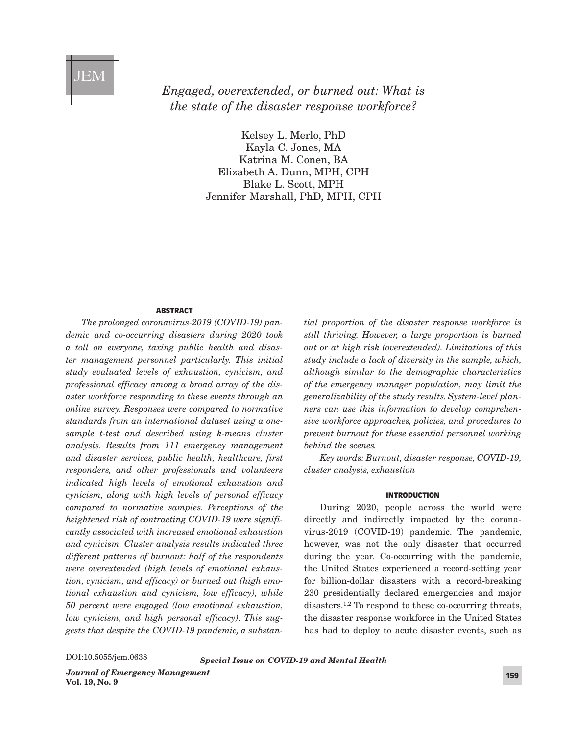# *Engaged, overextended, or burned out: What is the state of the disaster response workforce?*

Kelsey L. Merlo, PhD Kayla C. Jones, MA Katrina M. Conen, BA Elizabeth A. Dunn, MPH, CPH Blake L. Scott, MPH Jennifer Marshall, PhD, MPH, CPH

## ABSTRACT

*The prolonged coronavirus-2019 (COVID-19) pandemic and co-occurring disasters during 2020 took a toll on everyone, taxing public health and disaster management personnel particularly. This initial study evaluated levels of exhaustion, cynicism, and professional efficacy among a broad array of the disaster workforce responding to these events through an online survey. Responses were compared to normative standards from an international dataset using a onesample t-test and described using k-means cluster analysis. Results from 111 emergency management and disaster services, public health, healthcare, first responders, and other professionals and volunteers indicated high levels of emotional exhaustion and cynicism, along with high levels of personal efficacy compared to normative samples. Perceptions of the heightened risk of contracting COVID-19 were significantly associated with increased emotional exhaustion and cynicism. Cluster analysis results indicated three different patterns of burnout: half of the respondents were overextended (high levels of emotional exhaustion, cynicism, and efficacy) or burned out (high emotional exhaustion and cynicism, low efficacy), while 50 percent were engaged (low emotional exhaustion, low cynicism, and high personal efficacy). This suggests that despite the COVID-19 pandemic, a substan-* *tial proportion of the disaster response workforce is still thriving. However, a large proportion is burned out or at high risk (overextended). Limitations of this study include a lack of diversity in the sample, which, although similar to the demographic characteristics of the emergency manager population, may limit the generalizability of the study results. System-level planners can use this information to develop comprehensive workforce approaches, policies, and procedures to prevent burnout for these essential personnel working behind the scenes.*

*Key words: Burnout, disaster response, COVID-19, cluster analysis, exhaustion*

#### INTRODUCTION

During 2020, people across the world were directly and indirectly impacted by the coronavirus-2019 (COVID-19) pandemic. The pandemic, however, was not the only disaster that occurred during the year. Co-occurring with the pandemic, the United States experienced a record-setting year for billion-dollar disasters with a record-breaking 230 presidentially declared emergencies and major disasters.1,2 To respond to these co-occurring threats, the disaster response workforce in the United States has had to deploy to acute disaster events, such as

DOI:10.5055/jem.0638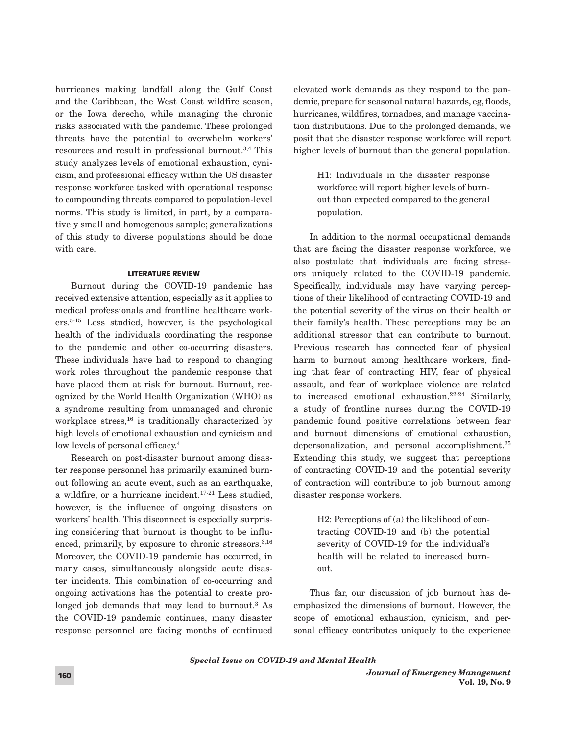hurricanes making landfall along the Gulf Coast and the Caribbean, the West Coast wildfire season, or the Iowa derecho, while managing the chronic risks associated with the pandemic. These prolonged threats have the potential to overwhelm workers' resources and result in professional burnout.3,4 This study analyzes levels of emotional exhaustion, cynicism, and professional efficacy within the US disaster response workforce tasked with operational response to compounding threats compared to population-level norms. This study is limited, in part, by a comparatively small and homogenous sample; generalizations of this study to diverse populations should be done with care.

## LITERATURE REVIEW

Burnout during the COVID-19 pandemic has received extensive attention, especially as it applies to medical professionals and frontline healthcare workers.5-15 Less studied, however, is the psychological health of the individuals coordinating the response to the pandemic and other co-occurring disasters. These individuals have had to respond to changing work roles throughout the pandemic response that have placed them at risk for burnout. Burnout, recognized by the World Health Organization (WHO) as a syndrome resulting from unmanaged and chronic workplace stress, $16$  is traditionally characterized by high levels of emotional exhaustion and cynicism and low levels of personal efficacy.<sup>4</sup>

Research on post-disaster burnout among disaster response personnel has primarily examined burnout following an acute event, such as an earthquake, a wildfire, or a hurricane incident. $17-21$  Less studied, however, is the influence of ongoing disasters on workers' health. This disconnect is especially surprising considering that burnout is thought to be influenced, primarily, by exposure to chronic stressors. $3,16$ Moreover, the COVID-19 pandemic has occurred, in many cases, simultaneously alongside acute disaster incidents. This combination of co-occurring and ongoing activations has the potential to create prolonged job demands that may lead to burnout.<sup>3</sup> As the COVID-19 pandemic continues, many disaster response personnel are facing months of continued

elevated work demands as they respond to the pandemic, prepare for seasonal natural hazards, eg, floods, hurricanes, wildfires, tornadoes, and manage vaccination distributions. Due to the prolonged demands, we posit that the disaster response workforce will report higher levels of burnout than the general population.

> H1: Individuals in the disaster response workforce will report higher levels of burnout than expected compared to the general population.

In addition to the normal occupational demands that are facing the disaster response workforce, we also postulate that individuals are facing stressors uniquely related to the COVID-19 pandemic. Specifically, individuals may have varying perceptions of their likelihood of contracting COVID-19 and the potential severity of the virus on their health or their family's health. These perceptions may be an additional stressor that can contribute to burnout. Previous research has connected fear of physical harm to burnout among healthcare workers, finding that fear of contracting HIV, fear of physical assault, and fear of workplace violence are related to increased emotional exhaustion. $22-24$  Similarly, a study of frontline nurses during the COVID-19 pandemic found positive correlations between fear and burnout dimensions of emotional exhaustion, depersonalization, and personal accomplishment.<sup>25</sup> Extending this study, we suggest that perceptions of contracting COVID-19 and the potential severity of contraction will contribute to job burnout among disaster response workers.

> H2: Perceptions of (a) the likelihood of contracting COVID-19 and (b) the potential severity of COVID-19 for the individual's health will be related to increased burnout.

Thus far, our discussion of job burnout has deemphasized the dimensions of burnout. However, the scope of emotional exhaustion, cynicism, and personal efficacy contributes uniquely to the experience

*Special Issue on COVID-19 and Mental Health*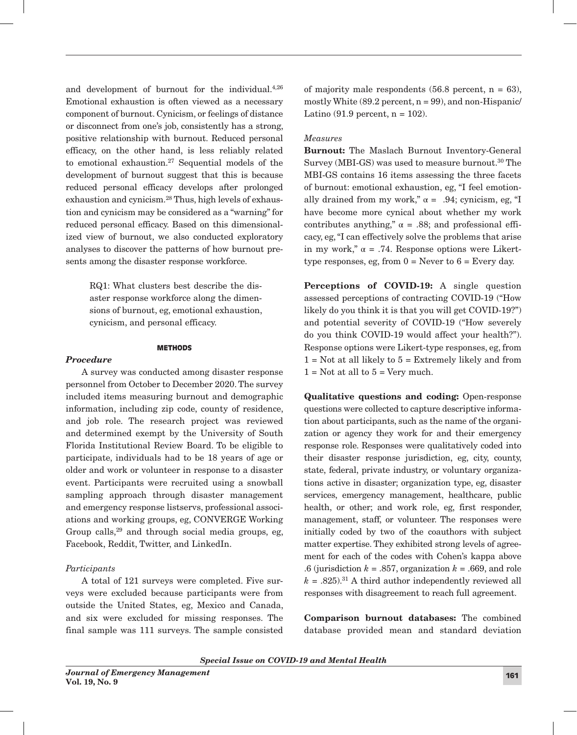and development of burnout for the individual.4,26 Emotional exhaustion is often viewed as a necessary component of burnout. Cynicism, or feelings of distance or disconnect from one's job, consistently has a strong, positive relationship with burnout. Reduced personal efficacy, on the other hand, is less reliably related to emotional exhaustion.27 Sequential models of the development of burnout suggest that this is because reduced personal efficacy develops after prolonged exhaustion and cynicism.28 Thus, high levels of exhaustion and cynicism may be considered as a "warning" for reduced personal efficacy. Based on this dimensionalized view of burnout, we also conducted exploratory analyses to discover the patterns of how burnout presents among the disaster response workforce.

> RQ1: What clusters best describe the disaster response workforce along the dimensions of burnout, eg, emotional exhaustion, cynicism, and personal efficacy.

## **METHODS**

# *Procedure*

A survey was conducted among disaster response personnel from October to December 2020. The survey included items measuring burnout and demographic information, including zip code, county of residence, and job role. The research project was reviewed and determined exempt by the University of South Florida Institutional Review Board. To be eligible to participate, individuals had to be 18 years of age or older and work or volunteer in response to a disaster event. Participants were recruited using a snowball sampling approach through disaster management and emergency response listservs, professional associations and working groups, eg, CONVERGE Working Group calls,<sup>29</sup> and through social media groups, eg, Facebook, Reddit, Twitter, and LinkedIn.

# *Participants*

A total of 121 surveys were completed. Five surveys were excluded because participants were from outside the United States, eg, Mexico and Canada, and six were excluded for missing responses. The final sample was 111 surveys. The sample consisted

of majority male respondents  $(56.8 \text{ percent}, n = 63)$ , mostly White  $(89.2$  percent,  $n = 99$ ), and non-Hispanic Latino (91.9 percent,  $n = 102$ ).

# *Measures*

Burnout: The Maslach Burnout Inventory-General Survey (MBI-GS) was used to measure burnout.<sup>30</sup> The MBI-GS contains 16 items assessing the three facets of burnout: emotional exhaustion, eg, "I feel emotionally drained from my work,"  $\alpha = .94$ ; cynicism, eg, "I have become more cynical about whether my work contributes anything,"  $\alpha$  = .88; and professional efficacy, eg, "I can effectively solve the problems that arise in my work,"  $\alpha = .74$ . Response options were Likerttype responses, eg, from  $0 =$  Never to  $6 =$  Every day.

Perceptions of COVID-19: A single question assessed perceptions of contracting COVID-19 ("How likely do you think it is that you will get COVID-19?") and potential severity of COVID-19 ("How severely do you think COVID-19 would affect your health?"). Response options were Likert-type responses, eg, from  $1 = Not$  at all likely to  $5 = Extremely$  likely and from  $1 =$  Not at all to  $5 =$  Very much.

Qualitative questions and coding: Open-response questions were collected to capture descriptive information about participants, such as the name of the organization or agency they work for and their emergency response role. Responses were qualitatively coded into their disaster response jurisdiction, eg, city, county, state, federal, private industry, or voluntary organizations active in disaster; organization type, eg, disaster services, emergency management, healthcare, public health, or other; and work role, eg, first responder, management, staff, or volunteer. The responses were initially coded by two of the coauthors with subject matter expertise. They exhibited strong levels of agreement for each of the codes with Cohen's kappa above .6 (jurisdiction *k* = .857, organization *k* = .669, and role  $k = .825$ .<sup>31</sup> A third author independently reviewed all responses with disagreement to reach full agreement.

Comparison burnout databases: The combined database provided mean and standard deviation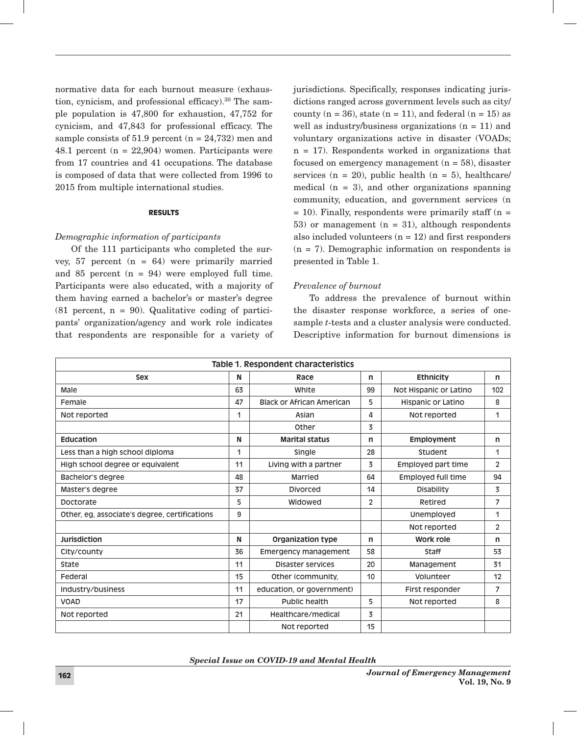normative data for each burnout measure (exhaustion, cynicism, and professional efficacy).30 The sample population is 47,800 for exhaustion, 47,752 for cynicism, and 47,843 for professional efficacy. The sample consists of 51.9 percent  $(n = 24,732)$  men and 48.1 percent  $(n = 22,904)$  women. Participants were from 17 countries and 41 occupations. The database is composed of data that were collected from 1996 to 2015 from multiple international studies.

#### RESULTS

## *Demographic information of participants*

Of the 111 participants who completed the survey, 57 percent (n = 64) were primarily married and 85 percent  $(n = 94)$  were employed full time. Participants were also educated, with a majority of them having earned a bachelor's or master's degree  $(81$  percent,  $n = 90$ ). Qualitative coding of participants' organization/agency and work role indicates that respondents are responsible for a variety of jurisdictions. Specifically, responses indicating jurisdictions ranged across government levels such as city/ county (n = 36), state (n = 11), and federal (n = 15) as well as industry/business organizations  $(n = 11)$  and voluntary organizations active in disaster (VOADs; n = 17). Respondents worked in organizations that focused on emergency management  $(n = 58)$ , disaster services  $(n = 20)$ , public health  $(n = 5)$ , healthcare/ medical  $(n = 3)$ , and other organizations spanning community, education, and government services (n  $= 10$ ). Finally, respondents were primarily staff (n  $=$ 53) or management  $(n = 31)$ , although respondents also included volunteers  $(n = 12)$  and first responders  $(n = 7)$ . Demographic information on respondents is presented in Table 1.

#### *Prevalence of burnout*

To address the prevalence of burnout within the disaster response workforce, a series of onesample *t*-tests and a cluster analysis were conducted. Descriptive information for burnout dimensions is

| Table 1. Respondent characteristics           |    |                                       |                         |                           |                |  |  |
|-----------------------------------------------|----|---------------------------------------|-------------------------|---------------------------|----------------|--|--|
| <b>Sex</b>                                    | N  | Race                                  | n                       | <b>Ethnicity</b>          | n              |  |  |
| Male                                          | 63 | White                                 |                         | Not Hispanic or Latino    | 102            |  |  |
| Female                                        | 47 | <b>Black or African American</b><br>5 |                         | Hispanic or Latino        | 8              |  |  |
| Not reported                                  | 1  | Asian                                 |                         | Not reported              | 1              |  |  |
|                                               |    | Other                                 | 3                       |                           |                |  |  |
| Education                                     | N  | <b>Marital status</b>                 | <b>Employment</b><br>n  |                           | n              |  |  |
| Less than a high school diploma               | 1  | Single                                |                         | Student                   | 1              |  |  |
| High school degree or equivalent              | 11 | Living with a partner                 | 3                       | <b>Employed part time</b> | $\overline{2}$ |  |  |
| Bachelor's degree                             | 48 | Married                               | 64                      | <b>Employed full time</b> | 94             |  |  |
| Master's degree                               | 37 | <b>Divorced</b>                       | 14<br><b>Disability</b> |                           | 3              |  |  |
| Doctorate                                     | 5  | Widowed                               | $\overline{2}$          | Retired                   | 7              |  |  |
| Other, eg, associate's degree, certifications | 9  |                                       |                         | Unemployed                | 1              |  |  |
|                                               |    |                                       |                         | Not reported              | 2              |  |  |
| <b>Jurisdiction</b>                           | N  | <b>Organization type</b>              | n                       | Work role                 | n              |  |  |
| City/county                                   | 36 | Emergency management                  | 58                      | Staff                     | 53             |  |  |
| State                                         | 11 | Disaster services                     | 20                      | Management                | 31             |  |  |
| Federal                                       | 15 | 10<br>Other (community,               |                         | Volunteer                 | 12             |  |  |
| Industry/business                             | 11 | education, or government)             |                         | First responder           | 7              |  |  |
| VOAD                                          | 17 | 5<br>Public health                    |                         | Not reported              | 8              |  |  |
| Not reported                                  | 21 | Healthcare/medical                    | 3                       |                           |                |  |  |
|                                               |    | Not reported                          | 15                      |                           |                |  |  |

*Special Issue on COVID-19 and Mental Health*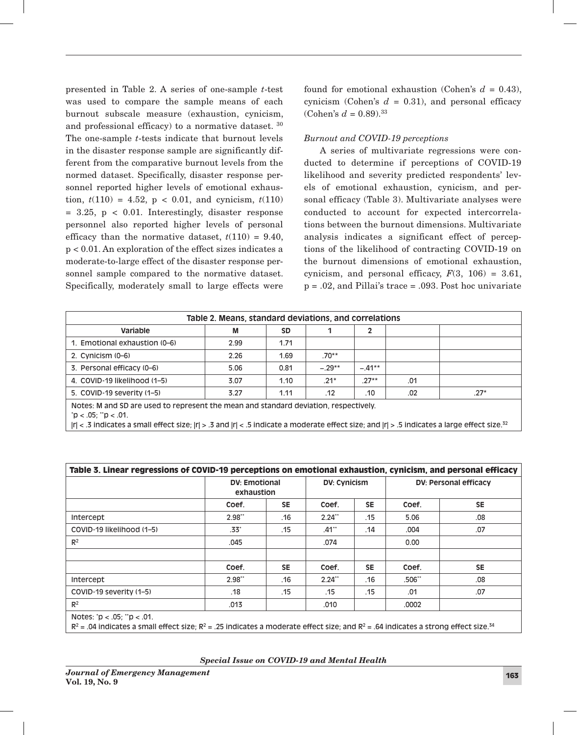presented in Table 2. A series of one-sample *t*-test was used to compare the sample means of each burnout subscale measure (exhaustion, cynicism, and professional efficacy) to a normative dataset. 30 The one-sample *t*-tests indicate that burnout levels in the disaster response sample are significantly different from the comparative burnout levels from the normed dataset. Specifically, disaster response personnel reported higher levels of emotional exhaustion,  $t(110) = 4.52$ ,  $p < 0.01$ , and cynicism,  $t(110)$  $= 3.25$ ,  $p < 0.01$ . Interestingly, disaster response personnel also reported higher levels of personal efficacy than the normative dataset,  $t(110) = 9.40$ , p < 0.01. An exploration of the effect sizes indicates a moderate-to-large effect of the disaster response personnel sample compared to the normative dataset. Specifically, moderately small to large effects were

found for emotional exhaustion (Cohen's  $d = 0.43$ ), cynicism (Cohen's  $d = 0.31$ ), and personal efficacy (Cohen's  $d = 0.89$ ).<sup>33</sup>

# *Burnout and COVID-19 perceptions*

A series of multivariate regressions were conducted to determine if perceptions of COVID-19 likelihood and severity predicted respondents' levels of emotional exhaustion, cynicism, and personal efficacy (Table 3). Multivariate analyses were conducted to account for expected intercorrelations between the burnout dimensions. Multivariate analysis indicates a significant effect of perceptions of the likelihood of contracting COVID-19 on the burnout dimensions of emotional exhaustion, cynicism, and personal efficacy,  $F(3, 106) = 3.61$ ,  $p = .02$ , and Pillai's trace = .093. Post hoc univariate

| Table 2. Means, standard deviations, and correlations                                |      |           |          |          |     |        |
|--------------------------------------------------------------------------------------|------|-----------|----------|----------|-----|--------|
| Variable                                                                             | М    | <b>SD</b> |          |          |     |        |
| 1. Emotional exhaustion (0-6)                                                        | 2.99 | 1.71      |          |          |     |        |
| 2. Cynicism $(0-6)$                                                                  | 2.26 | 1.69      | $.70**$  |          |     |        |
| 3. Personal efficacy (0-6)                                                           | 5.06 | 0.81      | $-.29**$ | $-.41**$ |     |        |
| 4. COVID-19 likelihood (1-5)                                                         | 3.07 | 1.10      | $21*$    | $27**$   | .01 |        |
| 5. COVID-19 severity (1-5)                                                           | 3.27 | 1.11      | .12      | .10      | .02 | $.27*$ |
| Notes: M and SD are used to represent the mean and standard deviation, respectively. |      |           |          |          |     |        |

 $\mathrm{p}$  < .05;  $\mathrm{p}$  < .01.

|r| < .3 indicates a small effect size; |r| > .3 and |r| < .5 indicate a moderate effect size; and |r| > .5 indicates a large effect size.<sup>32</sup>

| Table 3. Linear regressions of COVID-19 perceptions on emotional exhaustion, cynicism, and personal efficacy                                                                             |                                    |           |                     |           |                              |           |
|------------------------------------------------------------------------------------------------------------------------------------------------------------------------------------------|------------------------------------|-----------|---------------------|-----------|------------------------------|-----------|
|                                                                                                                                                                                          | <b>DV: Emotional</b><br>exhaustion |           | <b>DV: Cynicism</b> |           | <b>DV: Personal efficacy</b> |           |
|                                                                                                                                                                                          | Coef.                              | <b>SE</b> | Coef.               | <b>SE</b> | Coef.                        | <b>SE</b> |
| <b>Intercept</b>                                                                                                                                                                         | $2.98**$                           | .16       | $2.24**$            | .15       | 5.06                         | .08       |
| COVID-19 likelihood (1–5)                                                                                                                                                                | $.33^*$                            | .15       | $.41**$             | .14       | .004                         | .07       |
| $\mathbb{R}^2$                                                                                                                                                                           | .045                               |           | .074                |           | 0.00                         |           |
|                                                                                                                                                                                          |                                    |           |                     |           |                              |           |
|                                                                                                                                                                                          | Coef.                              | <b>SE</b> | Coef.               | <b>SE</b> | Coef.                        | <b>SE</b> |
| Intercept                                                                                                                                                                                | $2.98**$                           | .16       | $2.24**$            | .16       | .506**                       | .08       |
| COVID-19 severity (1–5)                                                                                                                                                                  | .18                                | .15       | .15                 | .15       | .01                          | .07       |
| $\mathbb{R}^2$                                                                                                                                                                           | .013                               |           | .010                |           | .0002                        |           |
| Notes: $p < .05$ ; $p < .01$ .<br>$R^2$ = .04 indicates a small effect size; $R^2$ = .25 indicates a moderate effect size; and $R^2$ = .64 indicates a strong effect size. <sup>34</sup> |                                    |           |                     |           |                              |           |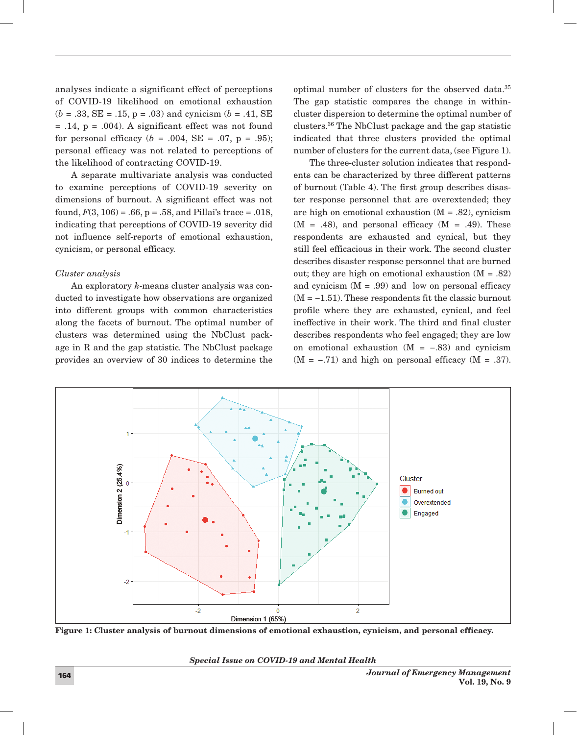analyses indicate a significant effect of perceptions of COVID-19 likelihood on emotional exhaustion  $(b = .33, SE = .15, p = .03)$  and cynicism  $(b = .41, SE)$  $= .14$ ,  $p = .004$ ). A significant effect was not found for personal efficacy  $(b = .004, SE = .07, p = .95)$ ; personal efficacy was not related to perceptions of the likelihood of contracting COVID-19.

A separate multivariate analysis was conducted to examine perceptions of COVID-19 severity on dimensions of burnout. A significant effect was not found,  $F(3, 106) = .66$ ,  $p = .58$ , and Pillai's trace = .018, indicating that perceptions of COVID-19 severity did not influence self-reports of emotional exhaustion, cynicism, or personal efficacy.

## *Cluster analysis*

An exploratory *k*-means cluster analysis was conducted to investigate how observations are organized into different groups with common characteristics along the facets of burnout. The optimal number of clusters was determined using the NbClust package in R and the gap statistic. The NbClust package provides an overview of 30 indices to determine the

optimal number of clusters for the observed data.<sup>35</sup> The gap statistic compares the change in withincluster dispersion to determine the optimal number of clusters.36 The NbClust package and the gap statistic indicated that three clusters provided the optimal number of clusters for the current data, (see Figure 1).

The three-cluster solution indicates that respondents can be characterized by three different patterns of burnout (Table 4). The first group describes disaster response personnel that are overextended; they are high on emotional exhaustion  $(M = .82)$ , cynicism  $(M = .48)$ , and personal efficacy  $(M = .49)$ . These respondents are exhausted and cynical, but they still feel efficacious in their work. The second cluster describes disaster response personnel that are burned out; they are high on emotional exhaustion  $(M = .82)$ and cynicism  $(M = .99)$  and low on personal efficacy  $(M = -1.51)$ . These respondents fit the classic burnout profile where they are exhausted, cynical, and feel ineffective in their work. The third and final cluster describes respondents who feel engaged; they are low on emotional exhaustion  $(M = -.83)$  and cynicism  $(M = -0.71)$  and high on personal efficacy  $(M = 0.37)$ .



Figure 1: Cluster analysis of burnout dimensions of emotional exhaustion, cynicism, and personal efficacy.

*Special Issue on COVID-19 and Mental Health*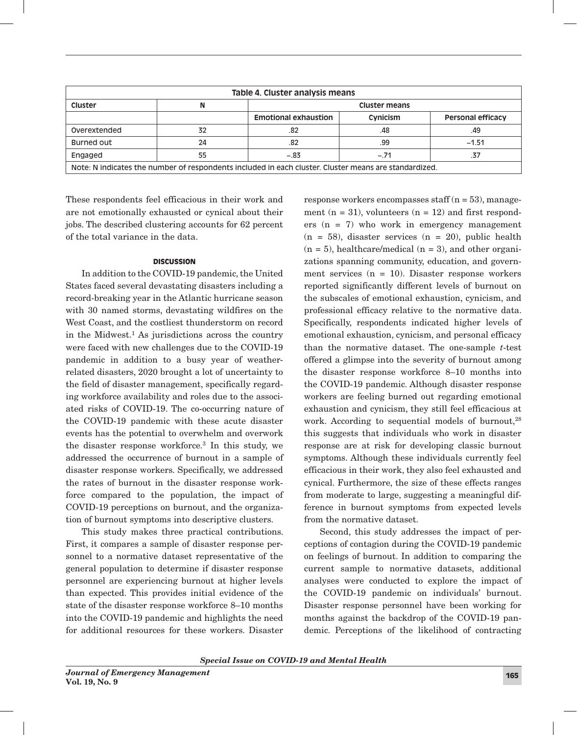| Table 4. Cluster analysis means                                                                       |    |                             |          |                          |  |  |  |
|-------------------------------------------------------------------------------------------------------|----|-----------------------------|----------|--------------------------|--|--|--|
| Cluster                                                                                               | N  | Cluster means               |          |                          |  |  |  |
|                                                                                                       |    | <b>Emotional exhaustion</b> | Cynicism | <b>Personal efficacy</b> |  |  |  |
| Overextended                                                                                          | 32 | .82                         | .48      | .49                      |  |  |  |
| Burned out                                                                                            | 24 | .82                         | .99      | $-1.51$                  |  |  |  |
| Engaged                                                                                               | 55 | $-.83$                      | $-.71$   | .37                      |  |  |  |
| Note: N indicates the number of respondents included in each cluster. Cluster means are standardized. |    |                             |          |                          |  |  |  |

These respondents feel efficacious in their work and are not emotionally exhausted or cynical about their jobs. The described clustering accounts for 62 percent of the total variance in the data.

# **DISCUSSION**

In addition to the COVID-19 pandemic, the United States faced several devastating disasters including a record-breaking year in the Atlantic hurricane season with 30 named storms, devastating wildfires on the West Coast, and the costliest thunderstorm on record in the Midwest.1 As jurisdictions across the country were faced with new challenges due to the COVID-19 pandemic in addition to a busy year of weatherrelated disasters, 2020 brought a lot of uncertainty to the field of disaster management, specifically regarding workforce availability and roles due to the associated risks of COVID-19. The co-occurring nature of the COVID-19 pandemic with these acute disaster events has the potential to overwhelm and overwork the disaster response workforce.3 In this study, we addressed the occurrence of burnout in a sample of disaster response workers. Specifically, we addressed the rates of burnout in the disaster response workforce compared to the population, the impact of COVID-19 perceptions on burnout, and the organization of burnout symptoms into descriptive clusters.

This study makes three practical contributions. First, it compares a sample of disaster response personnel to a normative dataset representative of the general population to determine if disaster response personnel are experiencing burnout at higher levels than expected. This provides initial evidence of the state of the disaster response workforce 8–10 months into the COVID-19 pandemic and highlights the need for additional resources for these workers. Disaster

response workers encompasses staff  $(n = 53)$ , management  $(n = 31)$ , volunteers  $(n = 12)$  and first responders  $(n = 7)$  who work in emergency management  $(n = 58)$ , disaster services  $(n = 20)$ , public health  $(n = 5)$ , healthcare/medical  $(n = 3)$ , and other organizations spanning community, education, and government services  $(n = 10)$ . Disaster response workers reported significantly different levels of burnout on the subscales of emotional exhaustion, cynicism, and professional efficacy relative to the normative data. Specifically, respondents indicated higher levels of emotional exhaustion, cynicism, and personal efficacy than the normative dataset. The one-sample *t*-test offered a glimpse into the severity of burnout among the disaster response workforce 8–10 months into the COVID-19 pandemic. Although disaster response workers are feeling burned out regarding emotional exhaustion and cynicism, they still feel efficacious at work. According to sequential models of burnout,<sup>28</sup> this suggests that individuals who work in disaster response are at risk for developing classic burnout symptoms. Although these individuals currently feel efficacious in their work, they also feel exhausted and cynical. Furthermore, the size of these effects ranges from moderate to large, suggesting a meaningful difference in burnout symptoms from expected levels from the normative dataset.

Second, this study addresses the impact of perceptions of contagion during the COVID-19 pandemic on feelings of burnout. In addition to comparing the current sample to normative datasets, additional analyses were conducted to explore the impact of the COVID-19 pandemic on individuals' burnout. Disaster response personnel have been working for months against the backdrop of the COVID-19 pandemic. Perceptions of the likelihood of contracting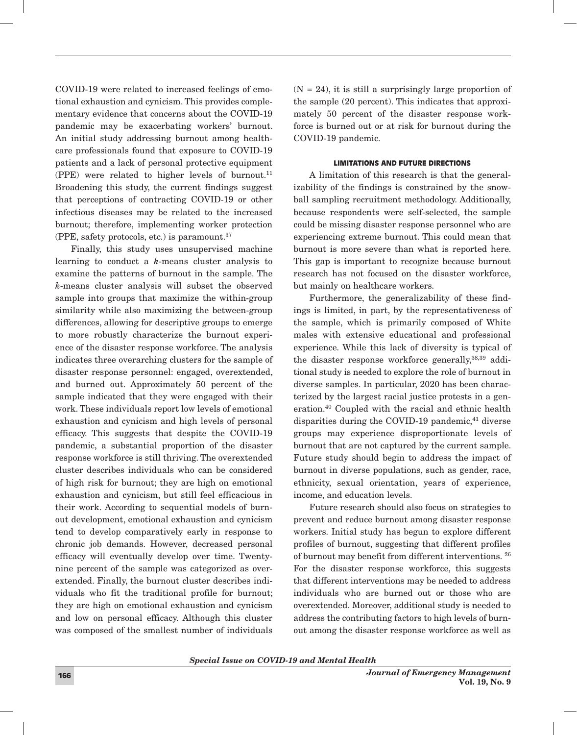COVID-19 were related to increased feelings of emotional exhaustion and cynicism. This provides complementary evidence that concerns about the COVID-19 pandemic may be exacerbating workers' burnout. An initial study addressing burnout among healthcare professionals found that exposure to COVID-19 patients and a lack of personal protective equipment (PPE) were related to higher levels of burnout.<sup>11</sup> Broadening this study, the current findings suggest that perceptions of contracting COVID-19 or other infectious diseases may be related to the increased burnout; therefore, implementing worker protection (PPE, safety protocols, etc.) is paramount.37

Finally, this study uses unsupervised machine learning to conduct a *k*-means cluster analysis to examine the patterns of burnout in the sample. The *k*-means cluster analysis will subset the observed sample into groups that maximize the within-group similarity while also maximizing the between-group differences, allowing for descriptive groups to emerge to more robustly characterize the burnout experience of the disaster response workforce. The analysis indicates three overarching clusters for the sample of disaster response personnel: engaged, overextended, and burned out. Approximately 50 percent of the sample indicated that they were engaged with their work. These individuals report low levels of emotional exhaustion and cynicism and high levels of personal efficacy. This suggests that despite the COVID-19 pandemic, a substantial proportion of the disaster response workforce is still thriving. The overextended cluster describes individuals who can be considered of high risk for burnout; they are high on emotional exhaustion and cynicism, but still feel efficacious in their work. According to sequential models of burnout development, emotional exhaustion and cynicism tend to develop comparatively early in response to chronic job demands. However, decreased personal efficacy will eventually develop over time. Twentynine percent of the sample was categorized as overextended. Finally, the burnout cluster describes individuals who fit the traditional profile for burnout; they are high on emotional exhaustion and cynicism and low on personal efficacy. Although this cluster was composed of the smallest number of individuals

 $(N = 24)$ , it is still a surprisingly large proportion of the sample (20 percent). This indicates that approximately 50 percent of the disaster response workforce is burned out or at risk for burnout during the COVID-19 pandemic.

## LIMITATIONS AND FUTURE DIRECTIONS

A limitation of this research is that the generalizability of the findings is constrained by the snowball sampling recruitment methodology. Additionally, because respondents were self-selected, the sample could be missing disaster response personnel who are experiencing extreme burnout. This could mean that burnout is more severe than what is reported here. This gap is important to recognize because burnout research has not focused on the disaster workforce, but mainly on healthcare workers.

Furthermore, the generalizability of these findings is limited, in part, by the representativeness of the sample, which is primarily composed of White males with extensive educational and professional experience. While this lack of diversity is typical of the disaster response workforce generally,<sup>38,39</sup> additional study is needed to explore the role of burnout in diverse samples. In particular, 2020 has been characterized by the largest racial justice protests in a generation.40 Coupled with the racial and ethnic health disparities during the COVID-19 pandemic.<sup>41</sup> diverse groups may experience disproportionate levels of burnout that are not captured by the current sample. Future study should begin to address the impact of burnout in diverse populations, such as gender, race, ethnicity, sexual orientation, years of experience, income, and education levels.

Future research should also focus on strategies to prevent and reduce burnout among disaster response workers. Initial study has begun to explore different profiles of burnout, suggesting that different profiles of burnout may benefit from different interventions. 26 For the disaster response workforce, this suggests that different interventions may be needed to address individuals who are burned out or those who are overextended. Moreover, additional study is needed to address the contributing factors to high levels of burnout among the disaster response workforce as well as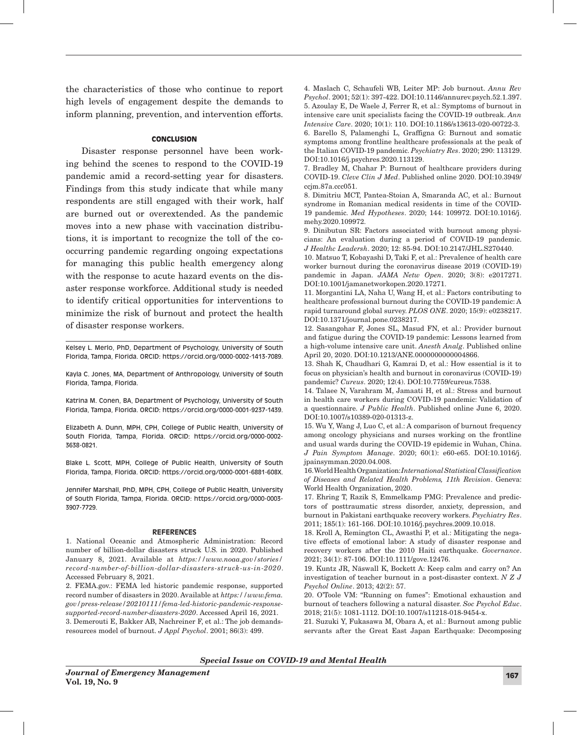the characteristics of those who continue to report high levels of engagement despite the demands to inform planning, prevention, and intervention efforts.

## **CONCLUSION**

Disaster response personnel have been working behind the scenes to respond to the COVID-19 pandemic amid a record-setting year for disasters. Findings from this study indicate that while many respondents are still engaged with their work, half are burned out or overextended. As the pandemic moves into a new phase with vaccination distributions, it is important to recognize the toll of the cooccurring pandemic regarding ongoing expectations for managing this public health emergency along with the response to acute hazard events on the disaster response workforce. Additional study is needed to identify critical opportunities for interventions to minimize the risk of burnout and protect the health of disaster response workers.

Kelsey L. Merlo, PhD, Department of Psychology, University of South Florida, Tampa, Florida. ORCID: https://orcid.org/0000-0002-1413-7089.

Kayla C. Jones, MA, Department of Anthropology, University of South Florida, Tampa, Florida.

Katrina M. Conen, BA, Department of Psychology, University of South Florida, Tampa, Florida. ORCID: https://orcid.org/0000-0001-9237-1439.

Elizabeth A. Dunn, MPH, CPH, College of Public Health, University of South Florida, Tampa, Florida. ORCID: https://orcid.org/0000-0002- 3638-0821.

Blake L. Scott, MPH, College of Public Health, University of South Florida, Tampa, Florida. ORCID: https://orcid.org/0000-0001-6881-608X.

Jennifer Marshall, PhD, MPH, CPH, College of Public Health, University of South Florida, Tampa, Florida. ORCID: https://orcid.org/0000-0003- 3907-7729.

#### **REFERENCES**

1. National Oceanic and Atmospheric Administration: Record number of billion-dollar disasters struck U.S. in 2020. Published January 8, 2021. Available at *https://www.noaa.gov/stories/ record-number-of-billion-dollar-disasters-struck-us-in-2020*. Accessed February 8, 2021.

2. FEMA.gov.: FEMA led historic pandemic response, supported record number of disasters in 2020. Available at *https://www.fema. gov/press-release/20210111/fema-led-historic-pandemic-responsesupported-record-number-disasters-2020*. Accessed April 16, 2021.

3. Demerouti E, Bakker AB, Nachreiner F, et al.: The job demandsresources model of burnout. *J Appl Psychol*. 2001; 86(3): 499.

4. Maslach C, Schaufeli WB, Leiter MP: Job burnout. *Annu Rev Psychol*. 2001; 52(1): 397-422. DOI:10.1146/annurev.psych.52.1.397. 5. Azoulay E, De Waele J, Ferrer R, et al.: Symptoms of burnout in intensive care unit specialists facing the COVID-19 outbreak. *Ann Intensive Care*. 2020; 10(1): 110. DOI:10.1186/s13613-020-00722-3. 6. Barello S, Palamenghi L, Graffigna G: Burnout and somatic symptoms among frontline healthcare professionals at the peak of the Italian COVID-19 pandemic. *Psychiatry Res*. 2020; 290: 113129. DOI:10.1016/j.psychres.2020.113129.

7. Bradley M, Chahar P: Burnout of healthcare providers during COVID-19. *Cleve Clin J Med*. Published online 2020. DOI:10.3949/ ccjm.87a.ccc051.

8. Dimitriu MCT, Pantea-Stoian A, Smaranda AC, et al.: Burnout syndrome in Romanian medical residents in time of the COVID-19 pandemic. *Med Hypotheses*. 2020; 144: 109972. DOI:10.1016/j. mehy.2020.109972.

9. Dinibutun SR: Factors associated with burnout among physicians: An evaluation during a period of COVID-19 pandemic. *J Healthc Leadersh*. 2020; 12: 85-94. DOI:10.2147/JHL.S270440.

10. Matsuo T, Kobayashi D, Taki F, et al.: Prevalence of health care worker burnout during the coronavirus disease 2019 (COVID-19) pandemic in Japan. *JAMA Netw Open*. 2020; 3(8): e2017271. DOI:10.1001/jamanetworkopen.2020.17271.

11. Morgantini LA, Naha U, Wang H, et al.: Factors contributing to healthcare professional burnout during the COVID-19 pandemic: A rapid turnaround global survey. *PLOS ONE*. 2020; 15(9): e0238217. DOI:10.1371/journal.pone.0238217.

12. Sasangohar F, Jones SL, Masud FN, et al.: Provider burnout and fatigue during the COVID-19 pandemic: Lessons learned from a high-volume intensive care unit. *Anesth Analg*. Published online April 20, 2020. DOI:10.1213/ANE.0000000000004866.

13. Shah K, Chaudhari G, Kamrai D, et al.: How essential is it to focus on physician's health and burnout in coronavirus (COVID-19) pandemic? *Cureus*. 2020; 12(4). DOI:10.7759/cureus.7538.

14. Talaee N, Varahram M, Jamaati H, et al.: Stress and burnout in health care workers during COVID-19 pandemic: Validation of a questionnaire. *J Public Health*. Published online June 6, 2020. DOI:10.1007/s10389-020-01313-z.

15. Wu Y, Wang J, Luo C, et al.: A comparison of burnout frequency among oncology physicians and nurses working on the frontline and usual wards during the COVID-19 epidemic in Wuhan, China. *J Pain Symptom Manage*. 2020; 60(1): e60-e65. DOI:10.1016/j. jpainsymman.2020.04.008.

16. World Health Organization: *International Statistical Classification of Diseases and Related Health Problems, 11th Revision*. Geneva: World Health Organization, 2020.

17. Ehring T, Razik S, Emmelkamp PMG: Prevalence and predictors of posttraumatic stress disorder, anxiety, depression, and burnout in Pakistani earthquake recovery workers. *Psychiatry Res*. 2011; 185(1): 161-166. DOI:10.1016/j.psychres.2009.10.018.

18. Kroll A, Remington CL, Awasthi P, et al.: Mitigating the negative effects of emotional labor: A study of disaster response and recovery workers after the 2010 Haiti earthquake. *Governance*. 2021; 34(1): 87-106. DOI:10.1111/gove.12476.

19. Kuntz JR, Näswall K, Bockett A: Keep calm and carry on? An investigation of teacher burnout in a post-disaster context. *N Z J Psychol Online*. 2013; 42(2): 57.

20. O'Toole VM: "Running on fumes": Emotional exhaustion and burnout of teachers following a natural disaster. *Soc Psychol Educ*. 2018; 21(5): 1081-1112. DOI:10.1007/s11218-018-9454-x.

21. Suzuki Y, Fukasawa M, Obara A, et al.: Burnout among public servants after the Great East Japan Earthquake: Decomposing

*Special Issue on COVID-19 and Mental Health*